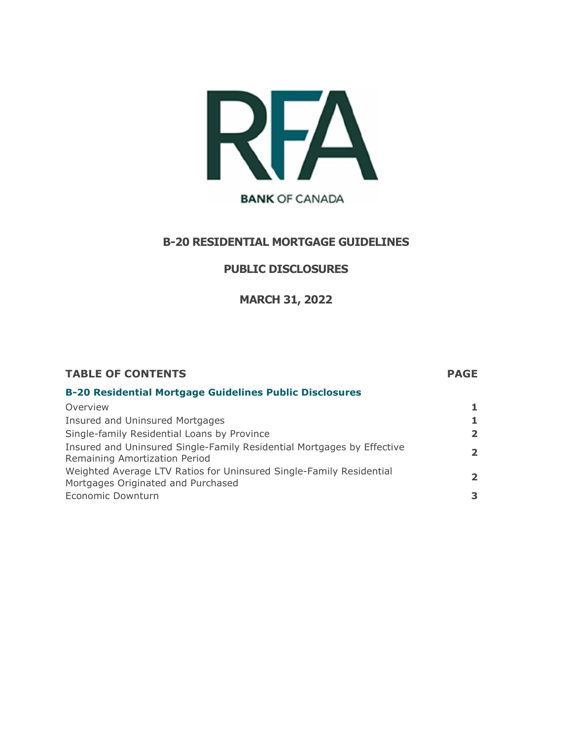

# **B-20 RESIDENTIAL MORTGAGE GUIDELINES**

### **PUBLIC DISCLOSURES**

**MARCH 31, 2022**

## **TABLE OF CONTENTS PAGE B-20 Residential Mortgage Guidelines Public Disclosures** Overview **1** Insured and Uninsured Mortgages **1** Single-family Residential Loans by Province **2** Insured and Uninsured Single-Family Residential Mortgages by Effective Insured and Uninsured Single-Family Residential Mortgages by Effective **2**<br>Remaining Amortization Period Weighted Average LTV Ratios for Uninsured Single-Family Residential weighted Average LTV Ratios for Official and Single-Parility Residential **2**<br>Mortgages Originated and Purchased Economic Downturn **3**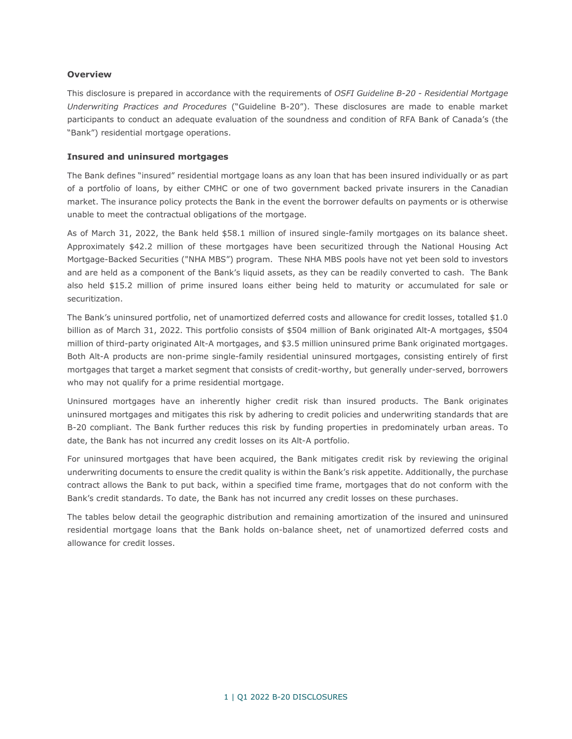#### **Overview**

This disclosure is prepared in accordance with the requirements of *OSFI Guideline B-20 - Residential Mortgage Underwriting Practices and Procedures* ("Guideline B-20"). These disclosures are made to enable market participants to conduct an adequate evaluation of the soundness and condition of RFA Bank of Canada's (the "Bank") residential mortgage operations.

#### **Insured and uninsured mortgages**

The Bank defines "insured" residential mortgage loans as any loan that has been insured individually or as part of a portfolio of loans, by either CMHC or one of two government backed private insurers in the Canadian market. The insurance policy protects the Bank in the event the borrower defaults on payments or is otherwise unable to meet the contractual obligations of the mortgage.

As of March 31, 2022, the Bank held \$58.1 million of insured single-family mortgages on its balance sheet. Approximately \$42.2 million of these mortgages have been securitized through the National Housing Act Mortgage-Backed Securities ("NHA MBS") program. These NHA MBS pools have not yet been sold to investors and are held as a component of the Bank's liquid assets, as they can be readily converted to cash. The Bank also held \$15.2 million of prime insured loans either being held to maturity or accumulated for sale or securitization.

The Bank's uninsured portfolio, net of unamortized deferred costs and allowance for credit losses, totalled \$1.0 billion as of March 31, 2022. This portfolio consists of \$504 million of Bank originated Alt-A mortgages, \$504 million of third-party originated Alt-A mortgages, and \$3.5 million uninsured prime Bank originated mortgages. Both Alt-A products are non-prime single-family residential uninsured mortgages, consisting entirely of first mortgages that target a market segment that consists of credit-worthy, but generally under-served, borrowers who may not qualify for a prime residential mortgage.

Uninsured mortgages have an inherently higher credit risk than insured products. The Bank originates uninsured mortgages and mitigates this risk by adhering to credit policies and underwriting standards that are B-20 compliant. The Bank further reduces this risk by funding properties in predominately urban areas. To date, the Bank has not incurred any credit losses on its Alt-A portfolio.

For uninsured mortgages that have been acquired, the Bank mitigates credit risk by reviewing the original underwriting documents to ensure the credit quality is within the Bank's risk appetite. Additionally, the purchase contract allows the Bank to put back, within a specified time frame, mortgages that do not conform with the Bank's credit standards. To date, the Bank has not incurred any credit losses on these purchases.

The tables below detail the geographic distribution and remaining amortization of the insured and uninsured residential mortgage loans that the Bank holds on-balance sheet, net of unamortized deferred costs and allowance for credit losses.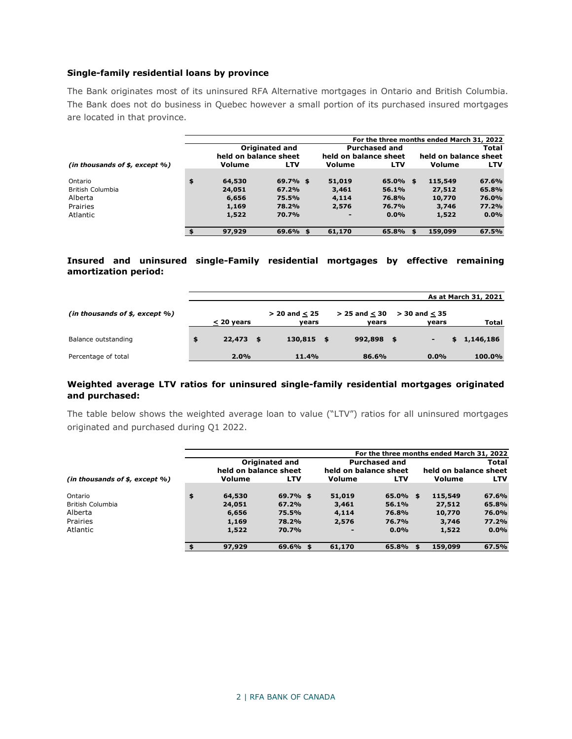#### **Single-family residential loans by province**

The Bank originates most of its uninsured RFA Alternative mortgages in Ontario and British Columbia. The Bank does not do business in Quebec however a small portion of its purchased insured mortgages are located in that province.

|                                     |    |                                         |            |                       |                      | For the three months ended March 31, 2022 |            |  |  |
|-------------------------------------|----|-----------------------------------------|------------|-----------------------|----------------------|-------------------------------------------|------------|--|--|
|                                     |    | Originated and<br>held on balance sheet |            |                       | <b>Purchased and</b> | Total                                     |            |  |  |
|                                     |    |                                         |            | held on balance sheet |                      | held on balance sheet                     |            |  |  |
| (in thousands of $$$ , except $%$ ) |    | <b>Volume</b>                           | <b>LTV</b> | Volume                | <b>LTV</b>           | Volume                                    | <b>LTV</b> |  |  |
|                                     |    |                                         |            |                       |                      |                                           |            |  |  |
| Ontario                             | \$ | 64,530                                  | 69.7%\$    | 51,019                | $65.0\%$ \$          | 115,549                                   | 67.6%      |  |  |
| <b>British Columbia</b>             |    | 24,051                                  | 67.2%      | 3,461                 | 56.1%                | 27,512                                    | 65.8%      |  |  |
| Alberta                             |    | 6,656                                   | 75.5%      | 4,114                 | 76.8%                | 10,770                                    | 76.0%      |  |  |
| Prairies                            |    | 1,169                                   | 78.2%      | 2,576                 | 76.7%                | 3,746                                     | 77.2%      |  |  |
| Atlantic                            |    | 1,522                                   | 70.7%      | ٠                     | $0.0\%$              | 1,522                                     | $0.0\%$    |  |  |
|                                     |    |                                         |            |                       |                      |                                           |            |  |  |
|                                     | \$ | 97,929                                  | 69.6%<br>S | 61,170                | 65.8%                | 159,099<br>\$                             | 67.5%      |  |  |

### **Insured and uninsured single-Family residential mortgages by effective remaining amortization period:**

|                                     |              |      |                   |                   | As at March 31, 2021     |  |  |             |
|-------------------------------------|--------------|------|-------------------|-------------------|--------------------------|--|--|-------------|
| (in thousands of $$$ , except $%$ ) |              |      | $> 20$ and $< 25$ | $> 25$ and $< 30$ | $> 30$ and $< 35$        |  |  |             |
|                                     | $<$ 20 years |      | years             | vears             | vears                    |  |  | Total       |
| Balance outstanding                 | \$<br>22,473 | - \$ | $130,815$ \$      | 992,898 \$        | $\overline{\phantom{a}}$ |  |  | \$1,146,186 |
| Percentage of total                 | 2.0%         |      | 11.4%             | 86.6%             | $0.0\%$                  |  |  | 100.0%      |

#### **Weighted average LTV ratios for uninsured single-family residential mortgages originated and purchased:**

The table below shows the weighted average loan to value ("LTV") ratios for all uninsured mortgages originated and purchased during Q1 2022.

|                                     |                                                |             |                                               |         | For the three months ended March 31, 2022 |         |  |
|-------------------------------------|------------------------------------------------|-------------|-----------------------------------------------|---------|-------------------------------------------|---------|--|
|                                     | <b>Originated and</b><br>held on balance sheet |             | <b>Purchased and</b><br>held on balance sheet |         | Total<br>held on balance sheet            |         |  |
| (in thousands of $$$ , except $%$ ) | Volume                                         | LTV         | Volume                                        | LTV     | Volume                                    | LTV     |  |
| Ontario                             | \$<br>64,530                                   | $69.7\%$ \$ | 51,019                                        | 65.0%   | 115,549<br>\$                             | 67.6%   |  |
| British Columbia                    | 24,051                                         | 67.2%       | 3,461                                         | 56.1%   | 27,512                                    | 65.8%   |  |
| Alberta                             | 6,656                                          | 75.5%       | 4,114                                         | 76.8%   | 10,770                                    | 76.0%   |  |
| Prairies                            | 1,169                                          | 78.2%       | 2,576                                         | 76.7%   | 3,746                                     | 77.2%   |  |
| Atlantic                            | 1,522                                          | 70.7%       | ۰                                             | $0.0\%$ | 1,522                                     | $0.0\%$ |  |
|                                     | 97,929                                         | $69.6\%$ \$ | 61,170                                        | 65.8%   | 159,099<br>-56                            | 67.5%   |  |